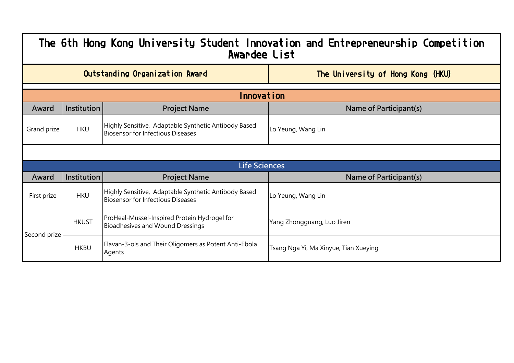| The 6th Hong Kong University Student Innovation and Entrepreneurship Competition<br>Awardee List |                                                                     |                                                                                                  |                                       |  |  |
|--------------------------------------------------------------------------------------------------|---------------------------------------------------------------------|--------------------------------------------------------------------------------------------------|---------------------------------------|--|--|
|                                                                                                  | Outstanding Organization Award<br>The University of Hong Kong (HKU) |                                                                                                  |                                       |  |  |
|                                                                                                  | Innovation                                                          |                                                                                                  |                                       |  |  |
| Award                                                                                            | Institution                                                         | <b>Project Name</b>                                                                              | Name of Participant(s)                |  |  |
| Grand prize                                                                                      | <b>HKU</b>                                                          | Highly Sensitive, Adaptable Synthetic Antibody Based<br><b>Biosensor for Infectious Diseases</b> | Lo Yeung, Wang Lin                    |  |  |
|                                                                                                  |                                                                     |                                                                                                  |                                       |  |  |
|                                                                                                  |                                                                     | <b>Life Sciences</b>                                                                             |                                       |  |  |
| Award                                                                                            | Institution                                                         | <b>Project Name</b>                                                                              | Name of Participant(s)                |  |  |
| First prize                                                                                      | <b>HKU</b>                                                          | Highly Sensitive, Adaptable Synthetic Antibody Based<br><b>Biosensor for Infectious Diseases</b> | Lo Yeung, Wang Lin                    |  |  |
| Second prize                                                                                     | <b>HKUST</b>                                                        | ProHeal-Mussel-Inspired Protein Hydrogel for<br>Bioadhesives and Wound Dressings                 | Yang Zhongguang, Luo Jiren            |  |  |
|                                                                                                  | <b>HKBU</b>                                                         | Flavan-3-ols and Their Oligomers as Potent Anti-Ebola<br>Agents                                  | Tsang Nga Yi, Ma Xinyue, Tian Xueying |  |  |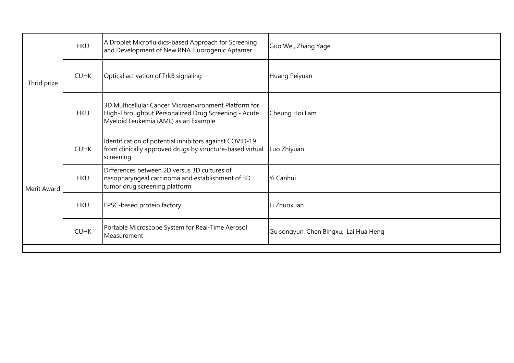| Thrid prize | <b>HKU</b>  | A Droplet Microfluidics-based Approach for Screening<br>and Development of New RNA Fluorogenic Aptamer                                               | Guo Wei, Zhang Yage                   |
|-------------|-------------|------------------------------------------------------------------------------------------------------------------------------------------------------|---------------------------------------|
|             | <b>CUHK</b> | Optical activation of TrkB signaling                                                                                                                 | Huang Peiyuan                         |
|             | <b>HKU</b>  | 3D Multicellular Cancer Microenvironment Platform for<br>High-Throughput Personalized Drug Screening - Acute<br>Myeloid Leukemia (AML) as an Example | Cheung Hoi Lam                        |
| Merit Award | <b>CUHK</b> | Identification of potential inhibitors against COVID-19<br>from clinically approved drugs by structure-based virtual<br>screening                    | Luo Zhiyuan                           |
|             | <b>HKU</b>  | Differences between 2D versus 3D cultures of<br>nasopharyngeal carcinoma and establishment of 3D<br>tumor drug screening platform                    | Yi Canhui                             |
|             | <b>HKU</b>  | EPSC-based protein factory                                                                                                                           | Li Zhuoxuan                           |
|             | <b>CUHK</b> | Portable Microscope System for Real-Time Aerosol<br>Measurement                                                                                      | Gu songyun, Chen Bingxu, Lai Hua Heng |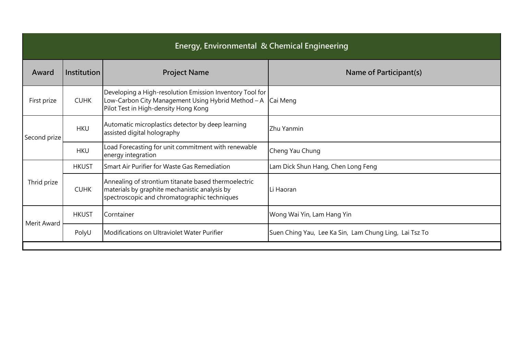| Energy, Environmental & Chemical Engineering |              |                                                                                                                                                        |                                                        |
|----------------------------------------------|--------------|--------------------------------------------------------------------------------------------------------------------------------------------------------|--------------------------------------------------------|
| Award                                        | Institution  | <b>Project Name</b>                                                                                                                                    | Name of Participant(s)                                 |
| First prize                                  | <b>CUHK</b>  | Developing a High-resolution Emission Inventory Tool for<br>Low-Carbon City Management Using Hybrid Method - A<br>Pilot Test in High-density Hong Kong | Cai Meng                                               |
| Second prize                                 | <b>HKU</b>   | Automatic microplastics detector by deep learning<br>assisted digital holography                                                                       | Zhu Yanmin                                             |
|                                              | <b>HKU</b>   | Load Forecasting for unit commitment with renewable<br>energy integration                                                                              | Cheng Yau Chung                                        |
|                                              | <b>HKUST</b> | Smart Air Purifier for Waste Gas Remediation                                                                                                           | Lam Dick Shun Hang, Chen Long Feng                     |
| Thrid prize                                  | <b>CUHK</b>  | Annealing of strontium titanate based thermoelectric<br>materials by graphite mechanistic analysis by<br>spectroscopic and chromatographic techniques  | Li Haoran                                              |
| Merit Award                                  | <b>HKUST</b> | Corntainer                                                                                                                                             | Wong Wai Yin, Lam Hang Yin                             |
|                                              | PolyU        | Modifications on Ultraviolet Water Purifier                                                                                                            | Suen Ching Yau, Lee Ka Sin, Lam Chung Ling, Lai Tsz To |
|                                              |              |                                                                                                                                                        |                                                        |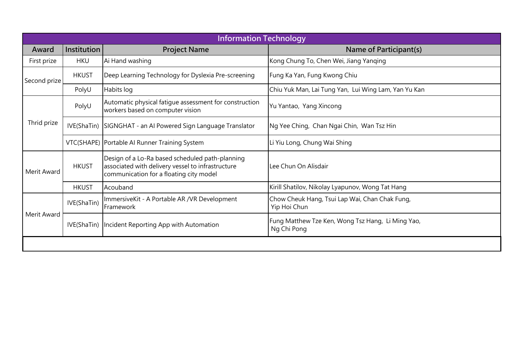| <b>Information Technology</b> |              |                                                                                                                                                 |                                                                  |
|-------------------------------|--------------|-------------------------------------------------------------------------------------------------------------------------------------------------|------------------------------------------------------------------|
| Award                         | Institution  | <b>Project Name</b>                                                                                                                             | Name of Participant(s)                                           |
| First prize                   | <b>HKU</b>   | Ai Hand washing                                                                                                                                 | Kong Chung To, Chen Wei, Jiang Yanging                           |
| Second prize                  | <b>HKUST</b> | Deep Learning Technology for Dyslexia Pre-screening                                                                                             | Fung Ka Yan, Fung Kwong Chiu                                     |
|                               | PolyU        | Habits log                                                                                                                                      | Chiu Yuk Man, Lai Tung Yan, Lui Wing Lam, Yan Yu Kan             |
|                               | PolyU        | Automatic physical fatigue assessment for construction<br>workers based on computer vision                                                      | Yu Yantao, Yang Xincong                                          |
| Thrid prize                   | IVE(ShaTin)  | SIGNGHAT - an Al Powered Sign Language Translator                                                                                               | Ng Yee Ching, Chan Ngai Chin, Wan Tsz Hin                        |
|                               |              | VTC(SHAPE) Portable AI Runner Training System                                                                                                   | Li Yiu Long, Chung Wai Shing                                     |
| Merit Award                   | <b>HKUST</b> | Design of a Lo-Ra based scheduled path-planning<br>associated with delivery vessel to infrastructure<br>communication for a floating city model | Lee Chun On Alisdair                                             |
|                               | <b>HKUST</b> | Acouband                                                                                                                                        | Kirill Shatilov, Nikolay Lyapunov, Wong Tat Hang                 |
| Merit Award                   | IVE(ShaTin)  | ImmersiveKit - A Portable AR / VR Development<br>Framework                                                                                      | Chow Cheuk Hang, Tsui Lap Wai, Chan Chak Fung,<br>Yip Hoi Chun   |
|                               | IVE(ShaTin)  | Incident Reporting App with Automation                                                                                                          | Fung Matthew Tze Ken, Wong Tsz Hang, Li Ming Yao,<br>Ng Chi Pong |
|                               |              |                                                                                                                                                 |                                                                  |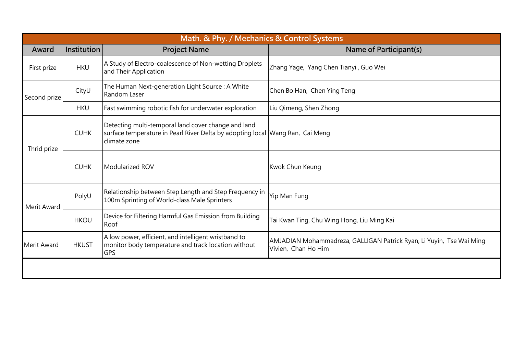|              | Math. & Phy. / Mechanics & Control Systems |                                                                                                                                                      |                                                                                             |  |  |
|--------------|--------------------------------------------|------------------------------------------------------------------------------------------------------------------------------------------------------|---------------------------------------------------------------------------------------------|--|--|
| Award        | Institution                                | <b>Project Name</b>                                                                                                                                  | Name of Participant(s)                                                                      |  |  |
| First prize  | <b>HKU</b>                                 | A Study of Electro-coalescence of Non-wetting Droplets<br>and Their Application                                                                      | Zhang Yage, Yang Chen Tianyi, Guo Wei                                                       |  |  |
| Second prize | CityU                                      | The Human Next-generation Light Source: A White<br>Random Laser                                                                                      | Chen Bo Han, Chen Ying Teng                                                                 |  |  |
|              | <b>HKU</b>                                 | Fast swimming robotic fish for underwater exploration                                                                                                | Liu Qimeng, Shen Zhong                                                                      |  |  |
| Thrid prize  | <b>CUHK</b>                                | Detecting multi-temporal land cover change and land<br>surface temperature in Pearl River Delta by adopting local Wang Ran, Cai Meng<br>climate zone |                                                                                             |  |  |
|              | <b>CUHK</b>                                | Modularized ROV                                                                                                                                      | Kwok Chun Keung                                                                             |  |  |
| Merit Award  | PolyU                                      | Relationship between Step Length and Step Frequency in<br>100m Sprinting of World-class Male Sprinters                                               | Yip Man Fung                                                                                |  |  |
|              | <b>HKOU</b>                                | Device for Filtering Harmful Gas Emission from Building<br>Roof                                                                                      | Tai Kwan Ting, Chu Wing Hong, Liu Ming Kai                                                  |  |  |
| Merit Award  | <b>HKUST</b>                               | A low power, efficient, and intelligent wristband to<br>monitor body temperature and track location without<br><b>GPS</b>                            | AMJADIAN Mohammadreza, GALLIGAN Patrick Ryan, Li Yuyin, Tse Wai Ming<br>Vivien, Chan Ho Him |  |  |
|              |                                            |                                                                                                                                                      |                                                                                             |  |  |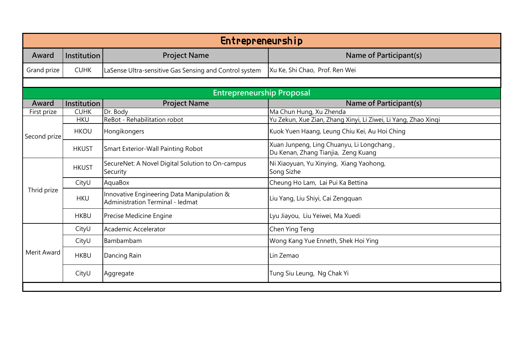| Entrepreneurship |              |                                                                                       |                                                                                  |
|------------------|--------------|---------------------------------------------------------------------------------------|----------------------------------------------------------------------------------|
| Award            | Institution  | <b>Project Name</b>                                                                   | Name of Participant(s)                                                           |
| Grand prize      | <b>CUHK</b>  | LaSense Ultra-sensitive Gas Sensing and Control system                                | Xu Ke, Shi Chao, Prof. Ren Wei                                                   |
|                  |              |                                                                                       |                                                                                  |
|                  |              | <b>Entrepreneurship Proposal</b>                                                      |                                                                                  |
| Award            | Institution  | <b>Project Name</b>                                                                   | Name of Participant(s)                                                           |
| First prize      | <b>CUHK</b>  | Dr. Body                                                                              | Ma Chun Hung, Xu Zhenda                                                          |
|                  | <b>HKU</b>   | ReBot - Rehabilitation robot                                                          | Yu Zekun, Xue Zian, Zhang Xinyi, Li Ziwei, Li Yang, Zhao Xinqi                   |
| Second prize     | <b>HKOU</b>  | Hongikongers                                                                          | Kuok Yuen Haang, Leung Chiu Kei, Au Hoi Ching                                    |
|                  | <b>HKUST</b> | <b>Smart Exterior-Wall Painting Robot</b>                                             | Xuan Junpeng, Ling Chuanyu, Li Longchang,<br>Du Kenan, Zhang Tianjia, Zeng Kuang |
|                  | <b>HKUST</b> | SecureNet: A Novel Digital Solution to On-campus<br>Security                          | Ni Xiaoyuan, Yu Xinying, Xiang Yaohong,<br>Song Sizhe                            |
|                  | CityU        | AquaBox                                                                               | Cheung Ho Lam, Lai Pui Ka Bettina                                                |
| Thrid prize      | <b>HKU</b>   | Innovative Engineering Data Manipulation &<br><b>Administration Terminal - ledmat</b> | Liu Yang, Liu Shiyi, Cai Zengquan                                                |
|                  | <b>HKBU</b>  | Precise Medicine Engine                                                               | Lyu Jiayou, Liu Yeiwei, Ma Xuedi                                                 |
|                  | CityU        | Academic Accelerator                                                                  | Chen Ying Teng                                                                   |
|                  | CityU        | Bambambam                                                                             | Wong Kang Yue Enneth, Shek Hoi Ying                                              |
| Merit Award      | <b>HKBU</b>  | Dancing Rain                                                                          | Lin Zemao                                                                        |
|                  | CityU        | Aggregate                                                                             | Tung Siu Leung, Ng Chak Yi                                                       |
|                  |              |                                                                                       |                                                                                  |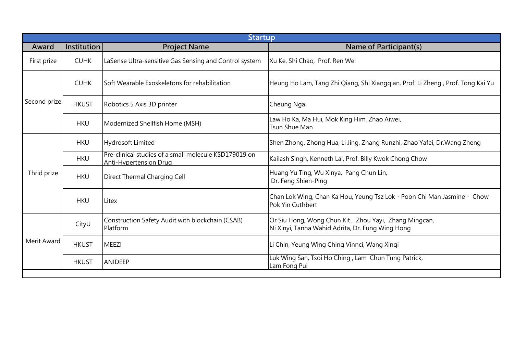| <b>Startup</b> |              |                                                                                        |                                                                                                           |  |
|----------------|--------------|----------------------------------------------------------------------------------------|-----------------------------------------------------------------------------------------------------------|--|
| Award          | Institution  | <b>Project Name</b>                                                                    | Name of Participant(s)                                                                                    |  |
| First prize    | <b>CUHK</b>  | LaSense Ultra-sensitive Gas Sensing and Control system                                 | Xu Ke, Shi Chao, Prof. Ren Wei                                                                            |  |
| Second prize   | <b>CUHK</b>  | Soft Wearable Exoskeletons for rehabilitation                                          | Heung Ho Lam, Tang Zhi Qiang, Shi Xianggian, Prof. Li Zheng , Prof. Tong Kai Yu                           |  |
|                | <b>HKUST</b> | Robotics 5 Axis 3D printer                                                             | Cheung Ngai                                                                                               |  |
|                | <b>HKU</b>   | Modernized Shellfish Home (MSH)                                                        | Law Ho Ka, Ma Hui, Mok King Him, Zhao Aiwei,<br>Tsun Shue Man                                             |  |
|                | <b>HKU</b>   | <b>Hydrosoft Limited</b>                                                               | Shen Zhong, Zhong Hua, Li Jing, Zhang Runzhi, Zhao Yafei, Dr.Wang Zheng                                   |  |
|                | <b>HKU</b>   | Pre-clinical studies of a small molecule KSD179019 on<br><b>Anti-Hypertension Drug</b> | Kailash Singh, Kenneth Lai, Prof. Billy Kwok Chong Chow                                                   |  |
| Thrid prize    | <b>HKU</b>   | Direct Thermal Charging Cell                                                           | Huang Yu Ting, Wu Xinya, Pang Chun Lin,<br>Dr. Feng Shien-Ping                                            |  |
|                | <b>HKU</b>   | Litex                                                                                  | Chan Lok Wing, Chan Ka Hou, Yeung Tsz Lok · Poon Chi Man Jasmine · Chow<br>Pok Yin Cuthbert               |  |
| Merit Award    | CityU        | Construction Safety Audit with blockchain (CSAB)<br>Platform                           | Or Siu Hong, Wong Chun Kit, Zhou Yayi, Zhang Mingcan,<br>Ni Xinyi, Tanha Wahid Adrita, Dr. Fung Wing Hong |  |
|                | <b>HKUST</b> | <b>MEEZI</b>                                                                           | Li Chin, Yeung Wing Ching Vinnci, Wang Xingi                                                              |  |
|                | <b>HKUST</b> | <b>ANIDEEP</b>                                                                         | Luk Wing San, Tsoi Ho Ching, Lam Chun Tung Patrick,<br>Lam Fong Pui                                       |  |
|                |              |                                                                                        |                                                                                                           |  |